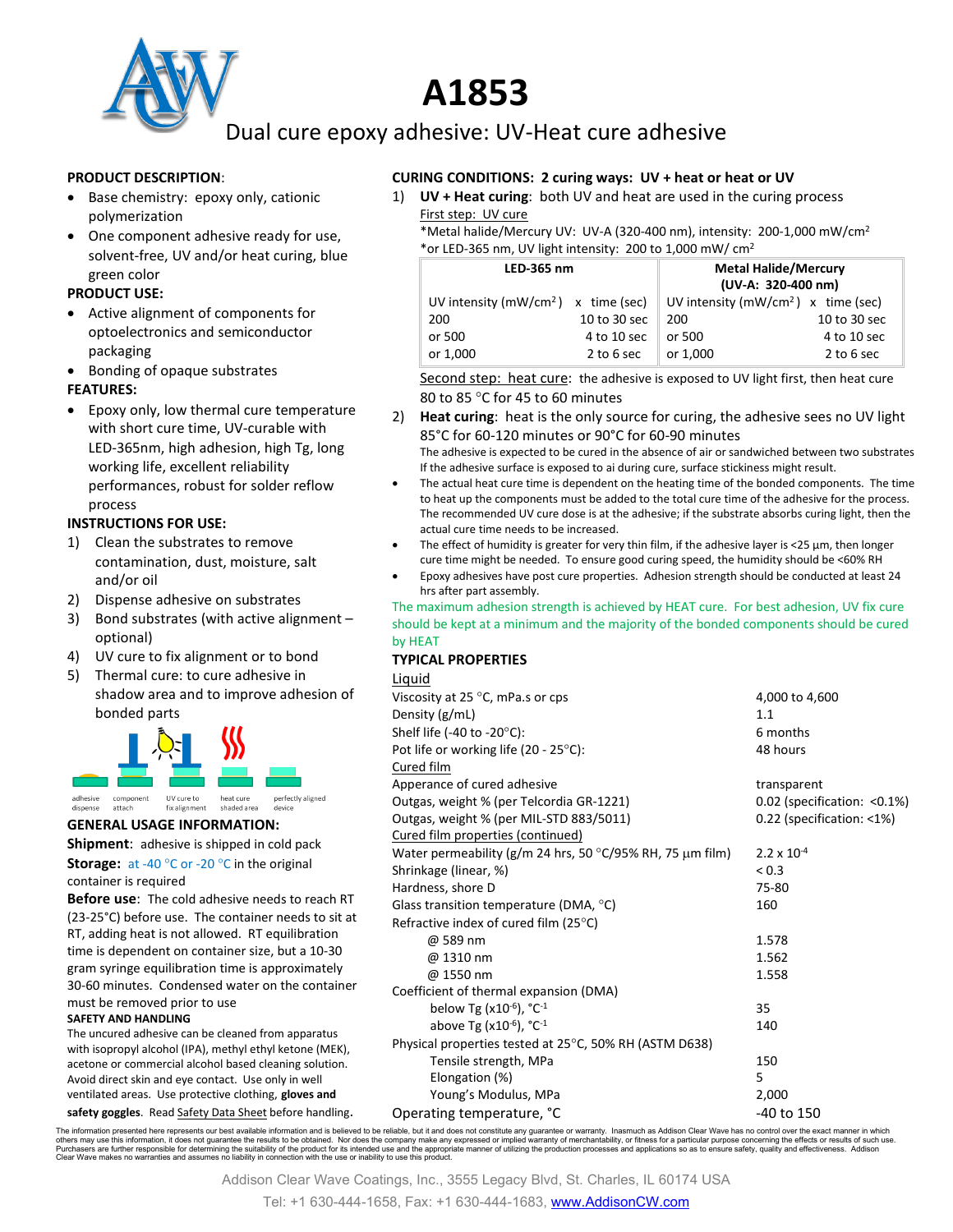

# **A1853**

Dual cure epoxy adhesive: UV-Heat cure adhesive

#### **PRODUCT DESCRIPTION**:

- Base chemistry: epoxy only, cationic polymerization
- One component adhesive ready for use, solvent-free, UV and/or heat curing, blue green color

#### **PRODUCT USE:**

- Active alignment of components for optoelectronics and semiconductor packaging
- Bonding of opaque substrates **FEATURES:**
- Epoxy only, low thermal cure temperature with short cure time, UV-curable with LED-365nm, high adhesion, high Tg, long working life, excellent reliability performances, robust for solder reflow process

#### **INSTRUCTIONS FOR USE:**

- 1) Clean the substrates to remove contamination, dust, moisture, salt and/or oil
- 2) Dispense adhesive on substrates
- 3) Bond substrates (with active alignment optional)
- 4) UV cure to fix alignment or to bond
- 5) Thermal cure: to cure adhesive in shadow area and to improve adhesion of bonded parts



#### **GENERAL USAGE INFORMATION:**

**Shipment**: adhesive is shipped in cold pack **Storage:** at -40 °C or -20 °C in the original container is required

**Before use**: The cold adhesive needs to reach RT (23-25°C) before use. The container needs to sit at RT, adding heat is not allowed. RT equilibration time is dependent on container size, but a 10-30 gram syringe equilibration time is approximately 30-60 minutes. Condensed water on the container must be removed prior to use **SAFETY AND HANDLING**

The uncured adhesive can be cleaned from apparatus with isopropyl alcohol (IPA), methyl ethyl ketone (MEK), acetone or commercial alcohol based cleaning solution. Avoid direct skin and eye contact. Use only in well ventilated areas. Use protective clothing, **gloves and** 

safety goggles. Read Safety Data Sheet before handling.

#### **CURING CONDITIONS: 2 curing ways: UV + heat or heat or UV**

1) **UV + Heat curing**: both UV and heat are used in the curing process First step: UV cure

\*Metal halide/Mercury UV: UV-A (320-400 nm), intensity: 200-1,000 mW/cm2 \*or LED-365 nm, UV light intensity: 200 to 1,000 mW/ cm2

| LED-365 nm                             |              | <b>Metal Halide/Mercury</b><br>(UV-A: 320-400 nm) |              |
|----------------------------------------|--------------|---------------------------------------------------|--------------|
| UV intensity ( $mW/cm2$ ) x time (sec) |              | UV intensity ( $mW/cm2$ ) x time (sec)            |              |
| 200                                    | 10 to 30 sec | 200                                               | 10 to 30 sec |
| or 500                                 | 4 to 10 sec  | or 500                                            | 4 to 10 sec  |
| or 1,000                               | 2 to 6 sec   | or 1,000                                          | 2 to 6 sec   |

Second step: heat cure: the adhesive is exposed to UV light first, then heat cure 80 to 85 °C for 45 to 60 minutes

2) **Heat curing**: heat is the only source for curing, the adhesive sees no UV light 85°C for 60-120 minutes or 90°C for 60-90 minutes

The adhesive is expected to be cured in the absence of air or sandwiched between two substrates If the adhesive surface is exposed to ai during cure, surface stickiness might result.

- The actual heat cure time is dependent on the heating time of the bonded components. The time to heat up the components must be added to the total cure time of the adhesive for the process. The recommended UV cure dose is at the adhesive; if the substrate absorbs curing light, then the actual cure time needs to be increased.
- The effect of humidity is greater for very thin film, if the adhesive layer is <25 µm, then longer cure time might be needed. To ensure good curing speed, the humidity should be <60% RH
- Epoxy adhesives have post cure properties. Adhesion strength should be conducted at least 24 hrs after part assembly.

The maximum adhesion strength is achieved by HEAT cure. For best adhesion, UV fix cure should be kept at a minimum and the majority of the bonded components should be cured by HEAT

#### **TYPICAL PROPERTIES**

| <b>Liquid</b>                                                     |                              |  |
|-------------------------------------------------------------------|------------------------------|--|
| Viscosity at 25 $\degree$ C, mPa.s or cps                         | 4,000 to 4,600               |  |
| Density (g/mL)                                                    | 1.1                          |  |
| Shelf life (-40 to -20 $^{\circ}$ C):                             | 6 months                     |  |
| Pot life or working life (20 - 25°C):                             | 48 hours                     |  |
| Cured film                                                        |                              |  |
| Apperance of cured adhesive                                       | transparent                  |  |
| Outgas, weight % (per Telcordia GR-1221)                          | 0.02 (specification: < 0.1%) |  |
| Outgas, weight % (per MIL-STD 883/5011)                           | 0.22 (specification: <1%)    |  |
| Cured film properties (continued)                                 |                              |  |
| Water permeability ( $g/m$ 24 hrs, 50 °C/95% RH, 75 $\mu$ m film) | $2.2 \times 10^{-4}$         |  |
| Shrinkage (linear, %)                                             | < 0.3                        |  |
| Hardness, shore D                                                 | 75-80                        |  |
| Glass transition temperature (DMA, $^{\circ}$ C)                  | 160                          |  |
| Refractive index of cured film (25°C)                             |                              |  |
| @ 589 nm                                                          | 1.578                        |  |
| @ 1310 nm                                                         | 1.562                        |  |
| @ 1550 nm                                                         | 1.558                        |  |
| Coefficient of thermal expansion (DMA)                            |                              |  |
| below Tg (x10 <sup>-6</sup> ), $°C^{-1}$                          | 35                           |  |
| above Tg ( $x10^{-6}$ ), $^{\circ}$ C <sup>-1</sup>               | 140                          |  |
| Physical properties tested at 25°C, 50% RH (ASTM D638)            |                              |  |
| Tensile strength, MPa                                             | 150                          |  |
| Elongation (%)                                                    | 5                            |  |
| Young's Modulus, MPa                                              | 2,000                        |  |
| Operating temperature. °C                                         | -40 to 150                   |  |

The information presented here represents our best available information and is believed to be reliable, but it and does not constitute any guarantee or warranty. Inasmuch as Addison Clear Wave has no control over the exac

Addison Clear Wave Coatings, Inc., 3555 Legacy Blvd, St. Charles, IL 60174 USA

Tel: +1 630-444-1658, Fax: +1 630-444-1683, [www.AddisonCW.com](http://www.addisoncw.com/)